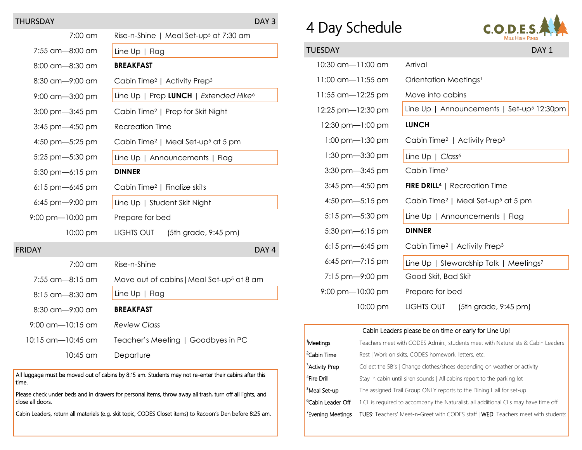## THURSDAY DAY 3

| 7:00 am               | Rise-n-Shine   Meal Set-up <sup>5</sup> at 7:30 am         |
|-----------------------|------------------------------------------------------------|
| 7:55 am-8:00 am       | Line $Up \mid Flag$                                        |
| 8:00 am-8:30 am       | <b>BREAKFAST</b>                                           |
| 8:30 am-9:00 am       | Cabin Time <sup>2</sup>   Activity Prep <sup>3</sup>       |
| 9:00 am-3:00 pm       | Line Up   Prep LUNCH   Extended Hike <sup>6</sup>          |
| $3:00$ pm $-3:45$ pm  | Cabin Time <sup>2</sup>   Prep for Skit Night              |
| 3:45 pm- $-4:50$ pm   | <b>Recreation Time</b>                                     |
| 4:50 pm $-5:25$ pm    | Cabin Time <sup>2</sup>   Meal Set-up <sup>5</sup> at 5 pm |
| 5:25 pm-5:30 pm       | Line Up   Announcements   Flag                             |
| 5:30 pm- $6:15$ pm    | <b>DINNER</b>                                              |
| $6:15$ pm- $6:45$ pm  | Cabin Time <sup>2</sup>   Finalize skits                   |
| $6:45$ pm-9:00 pm     | Line Up   Student Skit Night                               |
| $9:00$ pm $-10:00$ pm | Prepare for bed                                            |
| 10:00 pm              | LIGHTS OUT<br>$(5th)$ grade, 9:45 pm)                      |
| <b>FRIDAY</b>         | DAY <sub>4</sub>                                           |
| 7:00 am               | Rise-n-Shine                                               |
| 7:55 am-8:15 am       | Move out of cabins   Meal Set-up <sup>5</sup> at 8 am      |
| 8:15 am-8:30 am       | Line $Up \mid Flag$                                        |
| 8:30 am-9:00 am       | <b>BREAKFAST</b>                                           |
| $9:00$ am-10:15 am    | <b>Review Class</b>                                        |
| 10:15 am—10:45 am     | Teacher's Meeting   Goodbyes in PC                         |
| 10:45 am              | Departure                                                  |

All luggage must be moved out of cabins by 8:15 am. Students may not re-enter their cabins after this time.

Please check under beds and in drawers for personal items, throw away all trash, turn off all lights, and close all doors.

Cabin Leaders, return all materials (e.g. skit topic, CODES Closet items) to Racoon's Den before 8:25 am.

## 4 Day Schedule



| TUESDAY                             | DAY <sub>1</sub>                                           |
|-------------------------------------|------------------------------------------------------------|
| 10:30 am-11:00 am                   | Arrival                                                    |
| 11:00 am-11:55 am                   | Orientation Meetings <sup>1</sup>                          |
| 11:55 am-12:25 pm                   | Move into cabins                                           |
| 12:25 pm-12:30 pm                   | Line Up   Announcements   Set-up <sup>5</sup> 12:30pm      |
| 12:30 pm-1:00 pm                    | <b>LUNCH</b>                                               |
| $1:00$ pm $-1:30$ pm                | Cabin Time <sup>2</sup>   Activity Prep <sup>3</sup>       |
| $1:30$ pm $-3:30$ pm                | Line Up   Class <sup>6</sup>                               |
| $3:30$ pm $-3:45$ pm                | Cabin Time <sup>2</sup>                                    |
| 3:45 pm-4:50 pm                     | <b>FIRE DRILL<sup>4</sup></b>   Recreation Time            |
| 4:50 pm $-5:15$ pm                  | Cabin Time <sup>2</sup>   Meal Set-up <sup>5</sup> at 5 pm |
| $5:15$ pm $-5:30$ pm                | Line Up   Announcements   Flag                             |
| 5:30 pm-6:15 pm                     | <b>DINNER</b>                                              |
| 6:15 pm-6:45 pm                     | Cabin Time <sup>2</sup>   Activity Prep <sup>3</sup>       |
| 6:45 pm- $7:15$ pm                  | Line Up   Stewardship Talk   Meetings7                     |
| $7:15 \text{ pm} - 9:00 \text{ pm}$ | Good Skit, Bad Skit                                        |
| $9:00 \text{ pm}$ -10:00 pm         | Prepare for bed                                            |
| 10:00 pm                            | LIGHTS OUT (5th grade, 9:45 pm)                            |

## Cabin Leaders please be on time or early for Line Up! 1Meetings Teachers meet with CODES Admin., students meet with Naturalists & Cabin Leaders <sup>2</sup>Cabin Time Rest | Work on skits, CODES homework, letters, etc. <sup>3</sup> Activity Prep Collect the 5B's | Change clothes/shoes depending on weather or activity <sup>4</sup>Fire Drill Stay in cabin until siren sounds | All cabins report to the parking lot <sup>5</sup>Meal Set-up The assigned Trail Group ONLY reports to the Dining Hall for set-up

 $6$ Cabin Leader Off 1 CL is required to accompany the Naturalist, all additional CLs may have time off <sup>7</sup> Evening Meetings TUES: Teachers' Meet-n-Greet with CODES staff | WED: Teachers meet with students